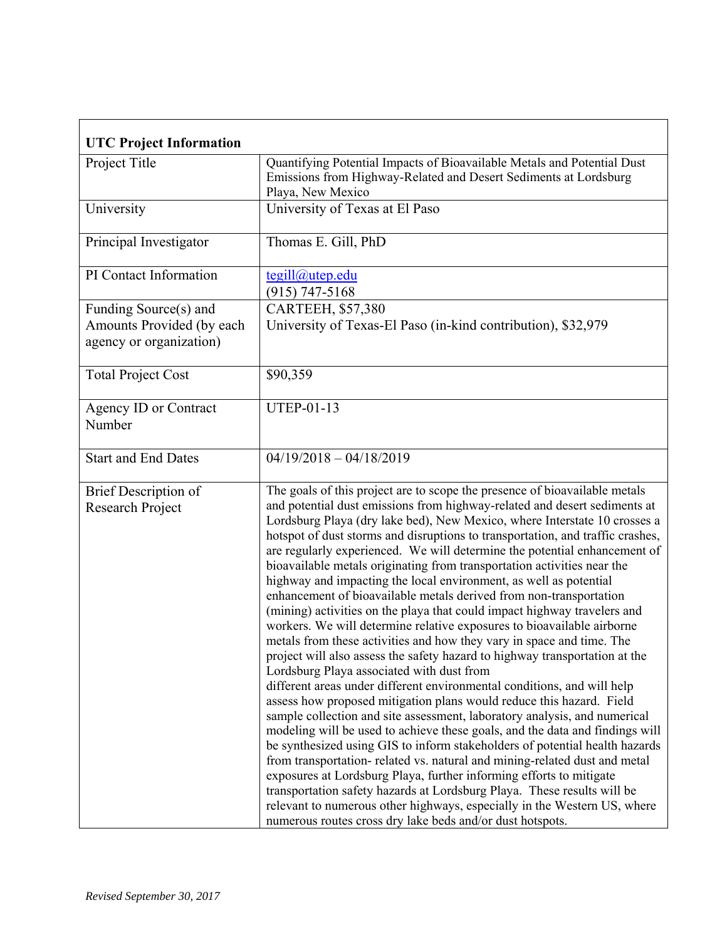| <b>UTC Project Information</b>                                                |                                                                                                                                                                                                                                                                                                                                                                                                                                                                                                                                                                                                                                                                                                                                                                                                                                                                                                                                                                                                                                                                                                                                                                                                                                                                                                                                                                                                                                                                                                                                                                                                                                                                                                                                                             |  |
|-------------------------------------------------------------------------------|-------------------------------------------------------------------------------------------------------------------------------------------------------------------------------------------------------------------------------------------------------------------------------------------------------------------------------------------------------------------------------------------------------------------------------------------------------------------------------------------------------------------------------------------------------------------------------------------------------------------------------------------------------------------------------------------------------------------------------------------------------------------------------------------------------------------------------------------------------------------------------------------------------------------------------------------------------------------------------------------------------------------------------------------------------------------------------------------------------------------------------------------------------------------------------------------------------------------------------------------------------------------------------------------------------------------------------------------------------------------------------------------------------------------------------------------------------------------------------------------------------------------------------------------------------------------------------------------------------------------------------------------------------------------------------------------------------------------------------------------------------------|--|
| Project Title                                                                 | Quantifying Potential Impacts of Bioavailable Metals and Potential Dust<br>Emissions from Highway-Related and Desert Sediments at Lordsburg<br>Playa, New Mexico                                                                                                                                                                                                                                                                                                                                                                                                                                                                                                                                                                                                                                                                                                                                                                                                                                                                                                                                                                                                                                                                                                                                                                                                                                                                                                                                                                                                                                                                                                                                                                                            |  |
| University                                                                    | University of Texas at El Paso                                                                                                                                                                                                                                                                                                                                                                                                                                                                                                                                                                                                                                                                                                                                                                                                                                                                                                                                                                                                                                                                                                                                                                                                                                                                                                                                                                                                                                                                                                                                                                                                                                                                                                                              |  |
| Principal Investigator                                                        | Thomas E. Gill, PhD                                                                                                                                                                                                                                                                                                                                                                                                                                                                                                                                                                                                                                                                                                                                                                                                                                                                                                                                                                                                                                                                                                                                                                                                                                                                                                                                                                                                                                                                                                                                                                                                                                                                                                                                         |  |
| PI Contact Information                                                        | tegill@utep.edu<br>$(915) 747 - 5168$                                                                                                                                                                                                                                                                                                                                                                                                                                                                                                                                                                                                                                                                                                                                                                                                                                                                                                                                                                                                                                                                                                                                                                                                                                                                                                                                                                                                                                                                                                                                                                                                                                                                                                                       |  |
| Funding Source(s) and<br>Amounts Provided (by each<br>agency or organization) | CARTEEH, \$57,380<br>University of Texas-El Paso (in-kind contribution), \$32,979                                                                                                                                                                                                                                                                                                                                                                                                                                                                                                                                                                                                                                                                                                                                                                                                                                                                                                                                                                                                                                                                                                                                                                                                                                                                                                                                                                                                                                                                                                                                                                                                                                                                           |  |
| <b>Total Project Cost</b>                                                     | \$90,359                                                                                                                                                                                                                                                                                                                                                                                                                                                                                                                                                                                                                                                                                                                                                                                                                                                                                                                                                                                                                                                                                                                                                                                                                                                                                                                                                                                                                                                                                                                                                                                                                                                                                                                                                    |  |
| Agency ID or Contract<br>Number                                               | <b>UTEP-01-13</b>                                                                                                                                                                                                                                                                                                                                                                                                                                                                                                                                                                                                                                                                                                                                                                                                                                                                                                                                                                                                                                                                                                                                                                                                                                                                                                                                                                                                                                                                                                                                                                                                                                                                                                                                           |  |
| <b>Start and End Dates</b>                                                    | $04/19/2018 - 04/18/2019$                                                                                                                                                                                                                                                                                                                                                                                                                                                                                                                                                                                                                                                                                                                                                                                                                                                                                                                                                                                                                                                                                                                                                                                                                                                                                                                                                                                                                                                                                                                                                                                                                                                                                                                                   |  |
| <b>Brief Description of</b><br>Research Project                               | The goals of this project are to scope the presence of bioavailable metals<br>and potential dust emissions from highway-related and desert sediments at<br>Lordsburg Playa (dry lake bed), New Mexico, where Interstate 10 crosses a<br>hotspot of dust storms and disruptions to transportation, and traffic crashes,<br>are regularly experienced. We will determine the potential enhancement of<br>bioavailable metals originating from transportation activities near the<br>highway and impacting the local environment, as well as potential<br>enhancement of bioavailable metals derived from non-transportation<br>(mining) activities on the playa that could impact highway travelers and<br>workers. We will determine relative exposures to bioavailable airborne<br>metals from these activities and how they vary in space and time. The<br>project will also assess the safety hazard to highway transportation at the<br>Lordsburg Playa associated with dust from<br>different areas under different environmental conditions, and will help<br>assess how proposed mitigation plans would reduce this hazard. Field<br>sample collection and site assessment, laboratory analysis, and numerical<br>modeling will be used to achieve these goals, and the data and findings will<br>be synthesized using GIS to inform stakeholders of potential health hazards<br>from transportation-related vs. natural and mining-related dust and metal<br>exposures at Lordsburg Playa, further informing efforts to mitigate<br>transportation safety hazards at Lordsburg Playa. These results will be<br>relevant to numerous other highways, especially in the Western US, where<br>numerous routes cross dry lake beds and/or dust hotspots. |  |